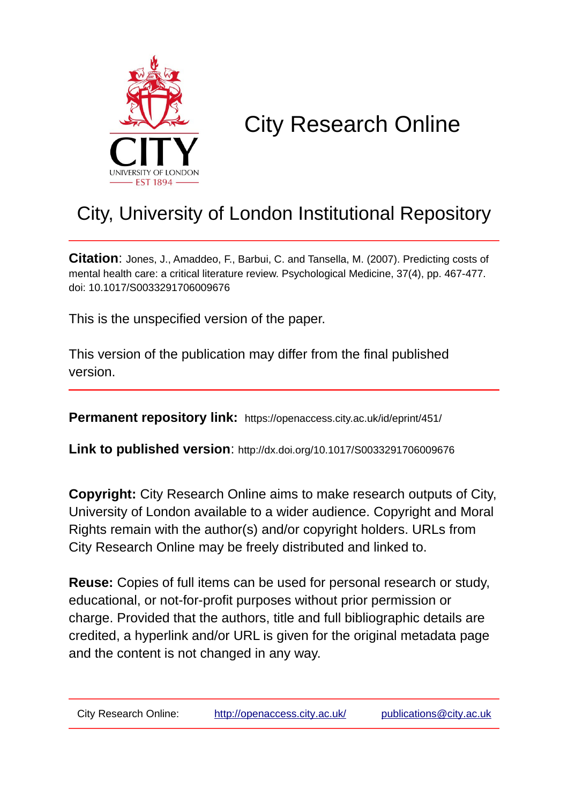

# City Research Online

# City, University of London Institutional Repository

**Citation**: Jones, J., Amaddeo, F., Barbui, C. and Tansella, M. (2007). Predicting costs of mental health care: a critical literature review. Psychological Medicine, 37(4), pp. 467-477. doi: 10.1017/S0033291706009676

This is the unspecified version of the paper.

This version of the publication may differ from the final published version.

**Permanent repository link:** https://openaccess.city.ac.uk/id/eprint/451/

**Link to published version**: http://dx.doi.org/10.1017/S0033291706009676

**Copyright:** City Research Online aims to make research outputs of City, University of London available to a wider audience. Copyright and Moral Rights remain with the author(s) and/or copyright holders. URLs from City Research Online may be freely distributed and linked to.

**Reuse:** Copies of full items can be used for personal research or study, educational, or not-for-profit purposes without prior permission or charge. Provided that the authors, title and full bibliographic details are credited, a hyperlink and/or URL is given for the original metadata page and the content is not changed in any way.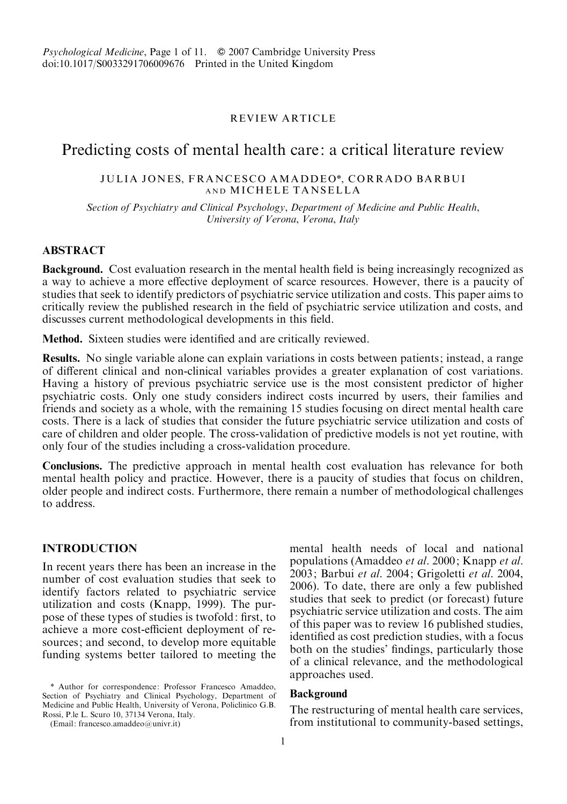# REVIEW ARTICLE

# Predicting costs of mental health care: a critical literature review

# JULIA JONES, FRANCESCO AMADDEO\*, CORRADO BARBUI AND MICHELE TANSELLA

Section of Psychiatry and Clinical Psychology, Department of Medicine and Public Health, University of Verona, Verona, Italy

# ABSTRACT

Background. Cost evaluation research in the mental health field is being increasingly recognized as a way to achieve a more effective deployment of scarce resources. However, there is a paucity of studies that seek to identify predictors of psychiatric service utilization and costs. This paper aims to critically review the published research in the field of psychiatric service utilization and costs, and discusses current methodological developments in this field.

Method. Sixteen studies were identified and are critically reviewed.

Results. No single variable alone can explain variations in costs between patients; instead, a range of different clinical and non-clinical variables provides a greater explanation of cost variations. Having a history of previous psychiatric service use is the most consistent predictor of higher psychiatric costs. Only one study considers indirect costs incurred by users, their families and friends and society as a whole, with the remaining 15 studies focusing on direct mental health care costs. There is a lack of studies that consider the future psychiatric service utilization and costs of care of children and older people. The cross-validation of predictive models is not yet routine, with only four of the studies including a cross-validation procedure.

Conclusions. The predictive approach in mental health cost evaluation has relevance for both mental health policy and practice. However, there is a paucity of studies that focus on children, older people and indirect costs. Furthermore, there remain a number of methodological challenges to address.

# INTRODUCTION

In recent years there has been an increase in the number of cost evaluation studies that seek to identify factors related to psychiatric service utilization and costs (Knapp, 1999). The purpose of these types of studies is twofold: first, to achieve a more cost-efficient deployment of resources; and second, to develop more equitable funding systems better tailored to meeting the

mental health needs of local and national populations (Amaddeo et al. 2000; Knapp et al. 2003; Barbui et al. 2004; Grigoletti et al. 2004, 2006). To date, there are only a few published studies that seek to predict (or forecast) future psychiatric service utilization and costs. The aim of this paper was to review 16 published studies, identified as cost prediction studies, with a focus both on the studies' findings, particularly those of a clinical relevance, and the methodological approaches used.

# Background

The restructuring of mental health care services, from institutional to community-based settings,

<sup>\*</sup> Author for correspondence: Professor Francesco Amaddeo, Section of Psychiatry and Clinical Psychology, Department of Medicine and Public Health, University of Verona, Policlinico G.B. Rossi, P.le L. Scuro 10, 37134 Verona, Italy.

<sup>(</sup>Email: francesco.amaddeo@univr.it)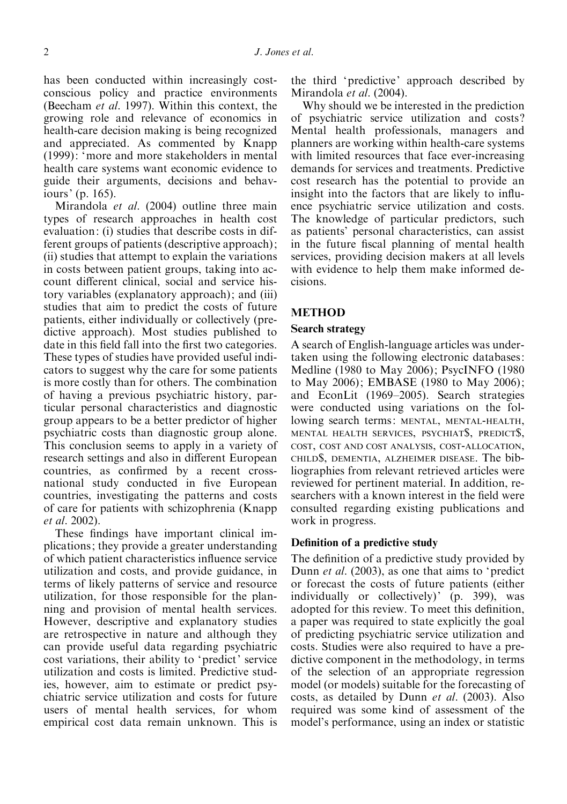has been conducted within increasingly costconscious policy and practice environments (Beecham et al. 1997). Within this context, the growing role and relevance of economics in health-care decision making is being recognized and appreciated. As commented by Knapp (1999): 'more and more stakeholders in mental health care systems want economic evidence to guide their arguments, decisions and behaviours' (p. 165).

Mirandola *et al.* (2004) outline three main types of research approaches in health cost evaluation: (i) studies that describe costs in different groups of patients (descriptive approach); (ii) studies that attempt to explain the variations in costs between patient groups, taking into account different clinical, social and service history variables (explanatory approach); and (iii) studies that aim to predict the costs of future patients, either individually or collectively (predictive approach). Most studies published to date in this field fall into the first two categories. These types of studies have provided useful indicators to suggest why the care for some patients is more costly than for others. The combination of having a previous psychiatric history, particular personal characteristics and diagnostic group appears to be a better predictor of higher psychiatric costs than diagnostic group alone. This conclusion seems to apply in a variety of research settings and also in different European countries, as confirmed by a recent crossnational study conducted in five European countries, investigating the patterns and costs of care for patients with schizophrenia (Knapp et al. 2002).

These findings have important clinical implications; they provide a greater understanding of which patient characteristics influence service utilization and costs, and provide guidance, in terms of likely patterns of service and resource utilization, for those responsible for the planning and provision of mental health services. However, descriptive and explanatory studies are retrospective in nature and although they can provide useful data regarding psychiatric cost variations, their ability to 'predict' service utilization and costs is limited. Predictive studies, however, aim to estimate or predict psychiatric service utilization and costs for future users of mental health services, for whom empirical cost data remain unknown. This is

the third 'predictive' approach described by Mirandola *et al.* (2004).

Why should we be interested in the prediction of psychiatric service utilization and costs ? Mental health professionals, managers and planners are working within health-care systems with limited resources that face ever-increasing demands for services and treatments. Predictive cost research has the potential to provide an insight into the factors that are likely to influence psychiatric service utilization and costs. The knowledge of particular predictors, such as patients' personal characteristics, can assist in the future fiscal planning of mental health services, providing decision makers at all levels with evidence to help them make informed decisions.

### METHOD

### Search strategy

A search of English-language articles was undertaken using the following electronic databases: Medline (1980 to May 2006); PsycINFO (1980 to May 2006); EMBASE (1980 to May 2006); and EconLit (1969–2005). Search strategies were conducted using variations on the following search terms: MENTAL, MENTAL-HEALTH, MENTAL HEALTH SERVICES, PSYCHIAT\$, PREDICT\$, COST, COST AND COST ANALYSIS, COST-ALLOCATION, CHILD\$, DEMENTIA, ALZHEIMER DISEASE. The bibliographies from relevant retrieved articles were reviewed for pertinent material. In addition, researchers with a known interest in the field were consulted regarding existing publications and work in progress.

# Definition of a predictive study

The definition of a predictive study provided by Dunn et al. (2003), as one that aims to 'predict or forecast the costs of future patients (either individually or collectively)' (p. 399), was adopted for this review. To meet this definition, a paper was required to state explicitly the goal of predicting psychiatric service utilization and costs. Studies were also required to have a predictive component in the methodology, in terms of the selection of an appropriate regression model (or models) suitable for the forecasting of costs, as detailed by Dunn et al. (2003). Also required was some kind of assessment of the model's performance, using an index or statistic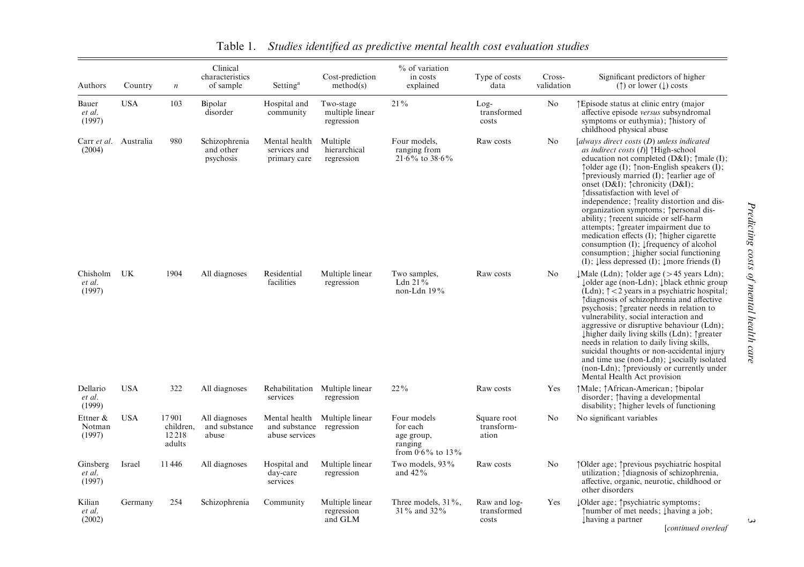|                                 |            |                                       | Clinical                                |                                               |                                             | % of variation                                                          |                                      |                      |                                                                                                                                                                                                                                                                                                                                                                                                                                                                                                                                                                                                                                                                                                                                                                   |
|---------------------------------|------------|---------------------------------------|-----------------------------------------|-----------------------------------------------|---------------------------------------------|-------------------------------------------------------------------------|--------------------------------------|----------------------|-------------------------------------------------------------------------------------------------------------------------------------------------------------------------------------------------------------------------------------------------------------------------------------------------------------------------------------------------------------------------------------------------------------------------------------------------------------------------------------------------------------------------------------------------------------------------------------------------------------------------------------------------------------------------------------------------------------------------------------------------------------------|
| Authors                         | Country    | $\boldsymbol{n}$                      | characteristics<br>of sample            | Setting <sup>a</sup>                          | Cost-prediction<br>method(s)                | in costs<br>explained                                                   | Type of costs<br>data                | Cross-<br>validation | Significant predictors of higher<br>$(†)$ or lower $($ $\downarrow$ $)$ costs                                                                                                                                                                                                                                                                                                                                                                                                                                                                                                                                                                                                                                                                                     |
| Bauer<br>et al.<br>(1997)       | <b>USA</b> | 103                                   | Bipolar<br>disorder                     | Hospital and<br>community                     | Two-stage<br>multiple linear<br>regression  | $21\%$                                                                  | $Log-$<br>transformed<br>costs       | No                   | ↑ Episode status at clinic entry (major<br>affective episode versus subsyndromal<br>symptoms or euthymia); Thistory of<br>childhood physical abuse                                                                                                                                                                                                                                                                                                                                                                                                                                                                                                                                                                                                                |
| Carr et al. Australia<br>(2004) |            | 980                                   | Schizophrenia<br>and other<br>psychosis | Mental health<br>services and<br>primary care | Multiple<br>hierarchical<br>regression      | Four models.<br>ranging from<br>$21.6\%$ to $38.6\%$                    | Raw costs                            | No.                  | $[always$ direct costs $(D)$ unless indicated<br>as indirect costs $(I)$ ] $\uparrow$ High-school<br>education not completed $(D&I)$ ; $\uparrow$ male $(I)$ ;<br>$\uparrow$ older age (I); $\uparrow$ non-English speakers (I);<br>$\uparrow$ previously married (I); $\uparrow$ earlier age of<br>onset (D&I); ^chronicity (D&I);<br>Adissatisfaction with level of<br>independence; $\uparrow$ reality distortion and dis-<br>organization symptoms; ^personal dis-<br>ability; Trecent suicide or self-harm<br>attempts; 1greater impairment due to<br>medication effects $(I)$ ; $\uparrow$ higher cigarette<br>consumption $(I)$ ; [frequency of alcohol]<br>consumption; 1higher social functioning<br>$(I)$ ; lless depressed $(I)$ ; lmore friends $(I)$ |
| Chisholm<br>et al.<br>(1997)    | UK         | 1904                                  | All diagnoses                           | Residential<br>facilities                     | Multiple linear<br>regression               | Two samples,<br>Ldn $21\%$<br>non-Ldn 19%                               | Raw costs                            | N <sub>0</sub>       | $\downarrow$ Male (Ldn); $\uparrow$ older age (>45 years Ldn);<br>↓ older age (non-Ldn); ↓ black ethnic group<br>(Ldn); $\uparrow$ < 2 years in a psychiatric hospital;<br>Adiagnosis of schizophrenia and affective<br>psychosis; $\uparrow$ greater needs in relation to<br>vulnerability, social interaction and<br>aggressive or disruptive behaviour (Ldn);<br>$\downarrow$ higher daily living skills (Ldn); $\uparrow$ greater<br>needs in relation to daily living skills,<br>suicidal thoughts or non-accidental injury<br>and time use (non-Ldn); 1socially isolated<br>(non-Ldn); 1 previously or currently under<br>Mental Health Act provision                                                                                                       |
| Dellario<br>et al.<br>(1999)    | <b>USA</b> | 322                                   | All diagnoses                           | Rehabilitation<br>services                    | Multiple linear<br>regression               | $22\%$                                                                  | Raw costs                            | Yes                  | †Male; †African-American; †bipolar<br>disorder; Thaving a developmental<br>disability; Thigher levels of functioning                                                                                                                                                                                                                                                                                                                                                                                                                                                                                                                                                                                                                                              |
| Ettner &<br>Notman<br>(1997)    | <b>USA</b> | 17901<br>children.<br>12218<br>adults | All diagnoses<br>and substance<br>abuse | and substance<br>abuse services               | Mental health Multiple linear<br>regression | Four models<br>for each<br>age group,<br>ranging<br>from $0.6\%$ to 13% | Square root<br>transform-<br>ation   | No                   | No significant variables                                                                                                                                                                                                                                                                                                                                                                                                                                                                                                                                                                                                                                                                                                                                          |
| Ginsberg<br>et al.<br>(1997)    | Israel     | 11446                                 | All diagnoses                           | Hospital and<br>day-care<br>services          | Multiple linear<br>regression               | Two models, 93%<br>and $42\%$                                           | Raw costs                            | N <sub>o</sub>       | ↑ Older age; ↑ previous psychiatric hospital<br>utilization; Adiagnosis of schizophrenia,<br>affective, organic, neurotic, childhood or<br>other disorders                                                                                                                                                                                                                                                                                                                                                                                                                                                                                                                                                                                                        |
| Kilian<br>et al.<br>(2002)      | Germany    | 254                                   | Schizophrenia                           | Community                                     | Multiple linear<br>regression<br>and GLM    | Three models, 31%,<br>31% and 32%                                       | Raw and log-<br>transformed<br>costs | Yes                  | lOlder age; † psychiatric symptoms;<br>↑ number of met needs; Lhaving a job;<br>I having a partner<br>[continued overleaf                                                                                                                                                                                                                                                                                                                                                                                                                                                                                                                                                                                                                                         |

 $\omega$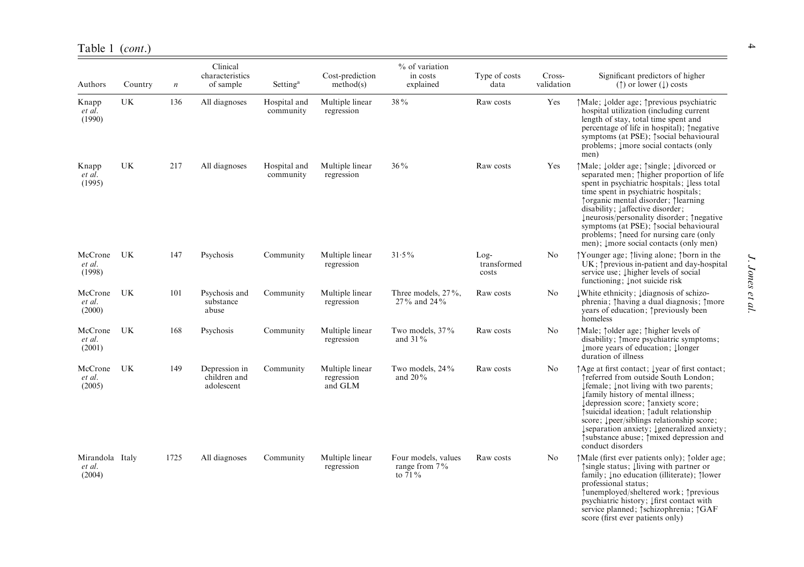| Authors                             | Country   | $\boldsymbol{n}$ | Clinical<br>characteristics<br>of sample    | Setting <sup>a</sup>      | Cost-prediction<br>method(s)             | % of variation<br>in costs<br>explained              | Type of costs<br>data          | Cross-<br>validation | Significant predictors of higher<br>$($ $\uparrow$ ) or lower ( $\downarrow$ ) costs                                                                                                                                                                                                                                                                                                                                                 |
|-------------------------------------|-----------|------------------|---------------------------------------------|---------------------------|------------------------------------------|------------------------------------------------------|--------------------------------|----------------------|--------------------------------------------------------------------------------------------------------------------------------------------------------------------------------------------------------------------------------------------------------------------------------------------------------------------------------------------------------------------------------------------------------------------------------------|
| Knapp<br>et al.<br>(1990)           | UK        | 136              | All diagnoses                               | Hospital and<br>community | Multiple linear<br>regression            | 38%                                                  | Raw costs                      | Yes                  | ↑Male; Jolder age; ↑previous psychiatric<br>hospital utilization (including current<br>length of stay, total time spent and<br>percentage of life in hospital); 1negative<br>symptoms (at PSE); $\uparrow$ social behavioural<br>problems; Imore social contacts (only<br>men)                                                                                                                                                       |
| Knapp<br>et al.<br>(1995)           | UK        | 217              | All diagnoses                               | Hospital and<br>community | Multiple linear<br>regression            | $36\%$                                               | Raw costs                      | Yes                  | ↑Male; Jolder age; ↑single; Jdivorced or<br>separated men; Thigher proportion of life<br>spent in psychiatric hospitals; less total<br>time spent in psychiatric hospitals;<br>↑ organic mental disorder; ↑ learning<br>disability; Laffective disorder;<br>Ineurosis/personality disorder; 1 negative<br>symptoms (at PSE); ^social behavioural<br>problems; Theed for nursing care (only<br>men); Imore social contacts (only men) |
| McCrone<br>et al.<br>(1998)         | UK        | 147              | Psychosis                                   | Community                 | Multiple linear<br>regression            | $31.5\%$                                             | $Log-$<br>transformed<br>costs | No                   | ↑Younger age; 1iving alone; 1born in the<br>$UK: \uparrow$ previous in-patient and day-hospital<br>service use; Thigher levels of social<br>functioning; Inot suicide risk                                                                                                                                                                                                                                                           |
| McCrone<br>et al.<br>(2000)         | UK        | 101              | Psychosis and<br>substance<br>abuse         | Community                 | Multiple linear<br>regression            | Three models, 27%,<br>27% and 24%                    | Raw costs                      | N <sub>o</sub>       | White ethnicity; Idiagnosis of schizo-<br>phrenia; Thaving a dual diagnosis; Tmore<br>years of education; †previously been<br>homeless                                                                                                                                                                                                                                                                                               |
| McCrone<br>et al.<br>(2001)         | <b>UK</b> | 168              | Psychosis                                   | Community                 | Multiple linear<br>regression            | Two models, 37%<br>and $31\%$                        | Raw costs                      | N <sub>0</sub>       | ↑Male; ↑older age; ↑higher levels of<br>disability; 1 more psychiatric symptoms;<br>Imore years of education; Ilonger<br>duration of illness                                                                                                                                                                                                                                                                                         |
| McCrone<br>et al.<br>(2005)         | UK        | 149              | Depression in<br>children and<br>adolescent | Community                 | Multiple linear<br>regression<br>and GLM | Two models, 24%<br>and 20%                           | Raw costs                      | No                   | ↑ Age at first contact; lyear of first contact;<br>Treferred from outside South London;<br>Ifemale; Inot living with two parents;<br>Ifamily history of mental illness;<br>↓ depression score; ↑ anxiety score;<br>↑ suicidal ideation; ↑ adult relationship<br>score; <i>peer/siblings relationship score;</i><br>Iseparation anxiety; Igeneralized anxiety;<br>↑ substance abuse; ↑ mixed depression and<br>conduct disorders      |
| Mirandola Italy<br>et al.<br>(2004) |           | 1725             | All diagnoses                               | Community                 | Multiple linear<br>regression            | Four models, values<br>range from $7\%$<br>to $71\%$ | Raw costs                      | N <sub>o</sub>       | ↑Male (first ever patients only); ↑older age;<br>single status; living with partner or<br>family; Ino education (illiterate); 1lower<br>professional status;<br>↑unemployed/sheltered work; ↑previous<br>psychiatric history; <i>Ifirst</i> contact with<br>service planned; † schizophrenia; † GAF<br>score (first ever patients only)                                                                                              |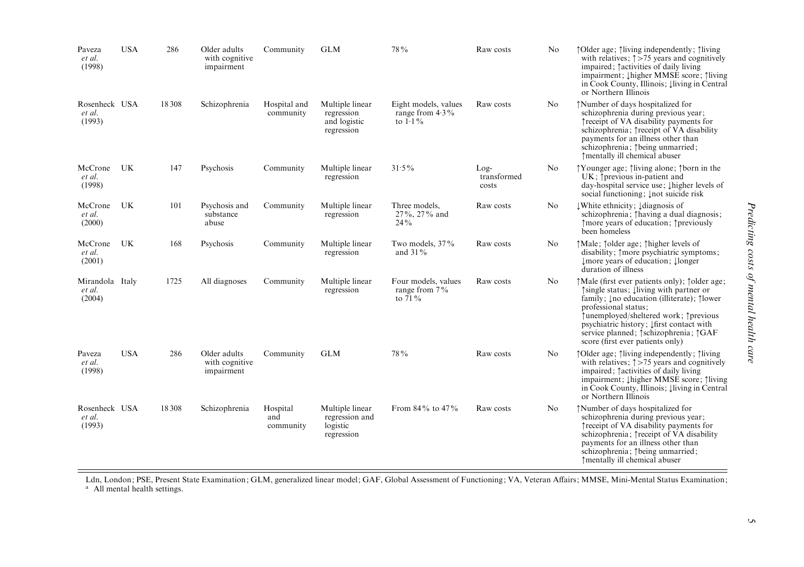| Paveza<br>et al.<br>(1998)          | <b>USA</b> | 286     | Older adults<br>with cognitive<br>impairment | Community                    | <b>GLM</b>                                                  | 78%                                                      | Raw costs                      | N <sub>0</sub> | ↑ Older age; 1 living independently; 1 living<br>with relatives; $\uparrow$ >75 years and cognitively<br>impaired; factivities of daily living<br>impairment; Lhigher MMSE score; 1living<br>in Cook County, Illinois; Iliving in Central<br>or Northern Illinois                                                                                                  |
|-------------------------------------|------------|---------|----------------------------------------------|------------------------------|-------------------------------------------------------------|----------------------------------------------------------|--------------------------------|----------------|--------------------------------------------------------------------------------------------------------------------------------------------------------------------------------------------------------------------------------------------------------------------------------------------------------------------------------------------------------------------|
| Rosenheck USA<br>et al.<br>(1993)   |            | 18 3 08 | Schizophrenia                                | Hospital and<br>community    | Multiple linear<br>regression<br>and logistic<br>regression | Eight models, values<br>range from $4.3\%$<br>to $1.1\%$ | Raw costs                      | N <sub>0</sub> | Mumber of days hospitalized for<br>schizophrenia during previous year;<br>Treceipt of VA disability payments for<br>schizophrenia; Treceipt of VA disability<br>payments for an illness other than<br>schizophrenia; 1 being unmarried;<br>↑mentally ill chemical abuser                                                                                           |
| McCrone<br>et al.<br>(1998)         | UK         | 147     | Psychosis                                    | Community                    | Multiple linear<br>regression                               | $31.5\%$                                                 | $Log-$<br>transformed<br>costs | N <sub>0</sub> | ↑Younger age; 1 fliving alone; 1 form in the<br>UK; 1 previous in-patient and<br>day-hospital service use; Į higher levels of<br>social functioning; Inot suicide risk                                                                                                                                                                                             |
| McCrone<br>et al.<br>(2000)         | UK         | 101     | Psychosis and<br>substance<br>abuse          | Community                    | Multiple linear<br>regression                               | Three models.<br>$27\%$ , $27\%$ and<br>$24\%$           | Raw costs                      | N <sub>0</sub> | White ethnicity; Idiagnosis of<br>schizophrenia; ^having a dual diagnosis;<br>↑more years of education; ↑previously<br>been homeless                                                                                                                                                                                                                               |
| McCrone<br>et al.<br>(2001)         | UK         | 168     | Psychosis                                    | Community                    | Multiple linear<br>regression                               | Two models, 37%<br>and $31\%$                            | Raw costs                      | No             | ↑Male; ↑older age; ↑higher levels of<br>disability; $\uparrow$ more psychiatric symptoms;<br>Imore years of education; Ilonger<br>duration of illness                                                                                                                                                                                                              |
| Mirandola Italy<br>et al.<br>(2004) |            | 1725    | All diagnoses                                | Community                    | Multiple linear<br>regression                               | Four models, values<br>range from $7\%$<br>to $71\%$     | Raw costs                      | N <sub>0</sub> | ↑Male (first ever patients only); ^older age;<br>↑ single status; lliving with partner or<br>family; Ino education (illiterate); 1 Nower<br>professional status;<br>↑unemployed/sheltered work; ↑previous<br>psychiatric history; $\downarrow$ first contact with<br>service planned; $\uparrow$ schizophrenia; $\uparrow$ GAF<br>score (first ever patients only) |
| Paveza<br>et al.<br>(1998)          | <b>USA</b> | 286     | Older adults<br>with cognitive<br>impairment | Community                    | <b>GLM</b>                                                  | 78%                                                      | Raw costs                      | N <sub>0</sub> | ↑Older age; 1living independently; 1living<br>with relatives; $\uparrow$ >75 years and cognitively<br>impaired; factivities of daily living<br>impairment; Lhigher MMSE score; 1living<br>in Cook County, Illinois; Iliving in Central<br>or Northern Illinois                                                                                                     |
| Rosenheck USA<br>et al.<br>(1993)   |            | 18 3 08 | Schizophrenia                                | Hospital<br>and<br>community | Multiple linear<br>regression and<br>logistic<br>regression | From 84% to 47%                                          | Raw costs                      | No             | Mumber of days hospitalized for<br>schizophrenia during previous year;<br>Treceipt of VA disability payments for<br>schizophrenia; Treceipt of VA disability<br>payments for an illness other than<br>schizophrenia; 1 being unmarried;<br>↑mentally ill chemical abuser                                                                                           |

Ldn, London; PSE, Present State Examination; GLM, generalized linear model; GAF, Global Assessment of Functioning; VA, Veteran Affairs; MMSE, Mini-Mental Status Examination;<br>ª All mental health settings.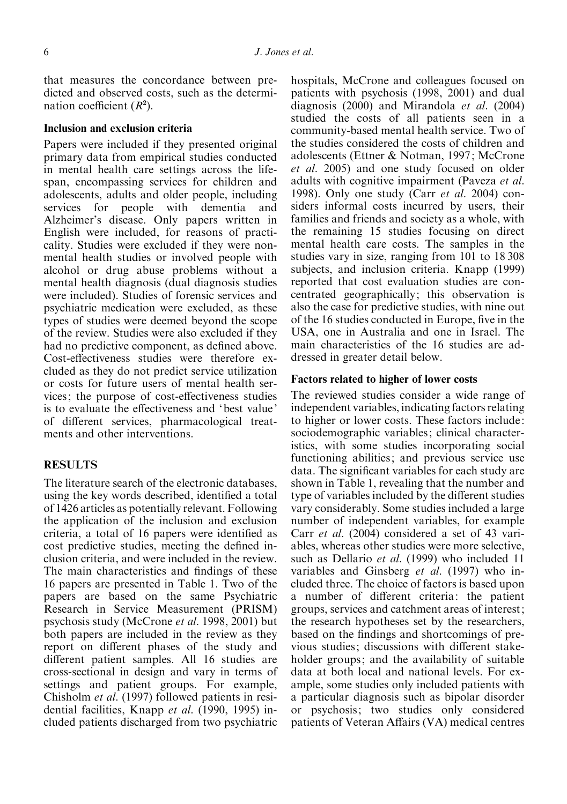that measures the concordance between predicted and observed costs, such as the determination coefficient  $(R^2)$ .

# Inclusion and exclusion criteria

Papers were included if they presented original primary data from empirical studies conducted in mental health care settings across the lifespan, encompassing services for children and adolescents, adults and older people, including services for people with dementia and Alzheimer's disease. Only papers written in English were included, for reasons of practicality. Studies were excluded if they were nonmental health studies or involved people with alcohol or drug abuse problems without a mental health diagnosis (dual diagnosis studies were included). Studies of forensic services and psychiatric medication were excluded, as these types of studies were deemed beyond the scope of the review. Studies were also excluded if they had no predictive component, as defined above. Cost-effectiveness studies were therefore excluded as they do not predict service utilization or costs for future users of mental health services; the purpose of cost-effectiveness studies is to evaluate the effectiveness and 'best value' of different services, pharmacological treatments and other interventions.

# **RESULTS**

The literature search of the electronic databases, using the key words described, identified a total of 1426 articles as potentially relevant. Following the application of the inclusion and exclusion criteria, a total of 16 papers were identified as cost predictive studies, meeting the defined inclusion criteria, and were included in the review. The main characteristics and findings of these 16 papers are presented in Table 1. Two of the papers are based on the same Psychiatric Research in Service Measurement (PRISM) psychosis study (McCrone et al. 1998, 2001) but both papers are included in the review as they report on different phases of the study and different patient samples. All 16 studies are cross-sectional in design and vary in terms of settings and patient groups. For example, Chisholm et al. (1997) followed patients in residential facilities, Knapp et al. (1990, 1995) included patients discharged from two psychiatric hospitals, McCrone and colleagues focused on patients with psychosis (1998, 2001) and dual diagnosis (2000) and Mirandola et al. (2004) studied the costs of all patients seen in a community-based mental health service. Two of the studies considered the costs of children and adolescents (Ettner & Notman, 1997; McCrone et al. 2005) and one study focused on older adults with cognitive impairment (Paveza et al. 1998). Only one study (Carr et al. 2004) considers informal costs incurred by users, their families and friends and society as a whole, with the remaining 15 studies focusing on direct mental health care costs. The samples in the studies vary in size, ranging from 101 to 18 308 subjects, and inclusion criteria. Knapp (1999) reported that cost evaluation studies are concentrated geographically; this observation is also the case for predictive studies, with nine out of the 16 studies conducted in Europe, five in the USA, one in Australia and one in Israel. The main characteristics of the 16 studies are addressed in greater detail below.

# Factors related to higher of lower costs

The reviewed studies consider a wide range of independent variables, indicating factors relating to higher or lower costs. These factors include: sociodemographic variables; clinical characteristics, with some studies incorporating social functioning abilities; and previous service use data. The significant variables for each study are shown in Table 1, revealing that the number and type of variables included by the different studies vary considerably. Some studies included a large number of independent variables, for example Carr et al. (2004) considered a set of 43 variables, whereas other studies were more selective, such as Dellario et al. (1999) who included 11 variables and Ginsberg et al. (1997) who included three. The choice of factors is based upon a number of different criteria: the patient groups, services and catchment areas of interest; the research hypotheses set by the researchers, based on the findings and shortcomings of previous studies; discussions with different stakeholder groups; and the availability of suitable data at both local and national levels. For example, some studies only included patients with a particular diagnosis such as bipolar disorder or psychosis; two studies only considered patients of Veteran Affairs (VA) medical centres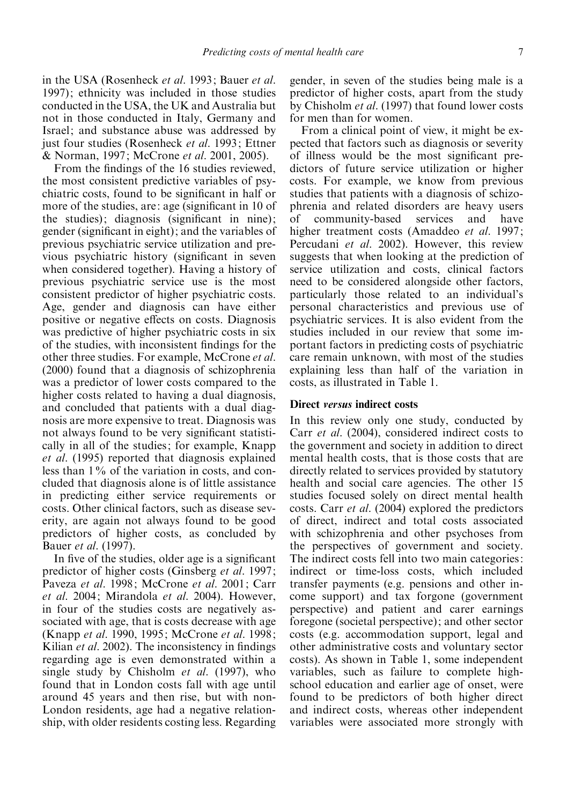in the USA (Rosenheck et al. 1993; Bauer et al. 1997); ethnicity was included in those studies conducted in the USA, the UK and Australia but not in those conducted in Italy, Germany and Israel; and substance abuse was addressed by just four studies (Rosenheck et al. 1993; Ettner & Norman, 1997; McCrone et al. 2001, 2005).

From the findings of the 16 studies reviewed, the most consistent predictive variables of psychiatric costs, found to be significant in half or more of the studies, are: age (significant in 10 of the studies); diagnosis (significant in nine); gender (significant in eight); and the variables of previous psychiatric service utilization and previous psychiatric history (significant in seven when considered together). Having a history of previous psychiatric service use is the most consistent predictor of higher psychiatric costs. Age, gender and diagnosis can have either positive or negative effects on costs. Diagnosis was predictive of higher psychiatric costs in six of the studies, with inconsistent findings for the other three studies. For example, McCrone et al. (2000) found that a diagnosis of schizophrenia was a predictor of lower costs compared to the higher costs related to having a dual diagnosis, and concluded that patients with a dual diagnosis are more expensive to treat. Diagnosis was not always found to be very significant statistically in all of the studies; for example, Knapp et al. (1995) reported that diagnosis explained less than 1% of the variation in costs, and concluded that diagnosis alone is of little assistance in predicting either service requirements or costs. Other clinical factors, such as disease severity, are again not always found to be good predictors of higher costs, as concluded by Bauer et al. (1997).

In five of the studies, older age is a significant predictor of higher costs (Ginsberg et al. 1997; Paveza et al. 1998; McCrone et al. 2001; Carr et al. 2004; Mirandola et al. 2004). However, in four of the studies costs are negatively associated with age, that is costs decrease with age (Knapp et al. 1990, 1995; McCrone et al. 1998; Kilian et al. 2002). The inconsistency in findings regarding age is even demonstrated within a single study by Chisholm *et al.* (1997), who found that in London costs fall with age until around 45 years and then rise, but with non-London residents, age had a negative relationship, with older residents costing less. Regarding gender, in seven of the studies being male is a predictor of higher costs, apart from the study by Chisholm et al. (1997) that found lower costs for men than for women.

From a clinical point of view, it might be expected that factors such as diagnosis or severity of illness would be the most significant predictors of future service utilization or higher costs. For example, we know from previous studies that patients with a diagnosis of schizophrenia and related disorders are heavy users of community-based services and have higher treatment costs (Amaddeo et al. 1997; Percudani et al. 2002). However, this review suggests that when looking at the prediction of service utilization and costs, clinical factors need to be considered alongside other factors, particularly those related to an individual's personal characteristics and previous use of psychiatric services. It is also evident from the studies included in our review that some important factors in predicting costs of psychiatric care remain unknown, with most of the studies explaining less than half of the variation in costs, as illustrated in Table 1.

# Direct versus indirect costs

In this review only one study, conducted by Carr et al. (2004), considered indirect costs to the government and society in addition to direct mental health costs, that is those costs that are directly related to services provided by statutory health and social care agencies. The other 15 studies focused solely on direct mental health costs. Carr et al. (2004) explored the predictors of direct, indirect and total costs associated with schizophrenia and other psychoses from the perspectives of government and society. The indirect costs fell into two main categories: indirect or time-loss costs, which included transfer payments (e.g. pensions and other income support) and tax forgone (government perspective) and patient and carer earnings foregone (societal perspective); and other sector costs (e.g. accommodation support, legal and other administrative costs and voluntary sector costs). As shown in Table 1, some independent variables, such as failure to complete highschool education and earlier age of onset, were found to be predictors of both higher direct and indirect costs, whereas other independent variables were associated more strongly with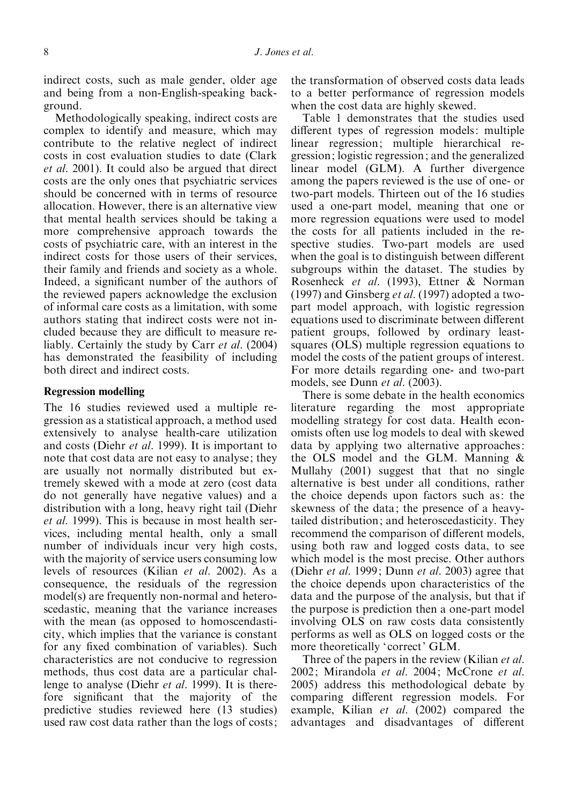indirect costs, such as male gender, older age and being from a non-English-speaking background.

Methodologically speaking, indirect costs are complex to identify and measure, which may contribute to the relative neglect of indirect costs in cost evaluation studies to date (Clark et al. 2001). It could also be argued that direct costs are the only ones that psychiatric services should be concerned with in terms of resource allocation. However, there is an alternative view that mental health services should be taking a more comprehensive approach towards the costs of psychiatric care, with an interest in the indirect costs for those users of their services, their family and friends and society as a whole. Indeed, a significant number of the authors of the reviewed papers acknowledge the exclusion of informal care costs as a limitation, with some authors stating that indirect costs were not included because they are difficult to measure reliably. Certainly the study by Carr et al. (2004) has demonstrated the feasibility of including both direct and indirect costs.

# Regression modelling

The 16 studies reviewed used a multiple regression as a statistical approach, a method used extensively to analyse health-care utilization and costs (Diehr et al. 1999). It is important to note that cost data are not easy to analyse; they are usually not normally distributed but extremely skewed with a mode at zero (cost data do not generally have negative values) and a distribution with a long, heavy right tail (Diehr et al. 1999). This is because in most health services, including mental health, only a small number of individuals incur very high costs, with the majority of service users consuming low levels of resources (Kilian et al. 2002). As a consequence, the residuals of the regression model(s) are frequently non-normal and heteroscedastic, meaning that the variance increases with the mean (as opposed to homoscendasticity, which implies that the variance is constant for any fixed combination of variables). Such characteristics are not conducive to regression methods, thus cost data are a particular challenge to analyse (Diehr *et al.* 1999). It is therefore significant that the majority of the predictive studies reviewed here (13 studies) used raw cost data rather than the logs of costs; the transformation of observed costs data leads to a better performance of regression models when the cost data are highly skewed.

Table 1 demonstrates that the studies used different types of regression models: multiple linear regression; multiple hierarchical regression; logistic regression; and the generalized linear model (GLM). A further divergence among the papers reviewed is the use of one- or two-part models. Thirteen out of the 16 studies used a one-part model, meaning that one or more regression equations were used to model the costs for all patients included in the respective studies. Two-part models are used when the goal is to distinguish between different subgroups within the dataset. The studies by Rosenheck et al. (1993), Ettner & Norman (1997) and Ginsberg *et al.* (1997) adopted a twopart model approach, with logistic regression equations used to discriminate between different patient groups, followed by ordinary leastsquares (OLS) multiple regression equations to model the costs of the patient groups of interest. For more details regarding one- and two-part models, see Dunn *et al.* (2003).

There is some debate in the health economics literature regarding the most appropriate modelling strategy for cost data. Health economists often use log models to deal with skewed data by applying two alternative approaches: the OLS model and the GLM. Manning & Mullahy (2001) suggest that that no single alternative is best under all conditions, rather the choice depends upon factors such as: the skewness of the data; the presence of a heavytailed distribution; and heteroscedasticity. They recommend the comparison of different models, using both raw and logged costs data, to see which model is the most precise. Other authors (Diehr et al. 1999; Dunn et al. 2003) agree that the choice depends upon characteristics of the data and the purpose of the analysis, but that if the purpose is prediction then a one-part model involving OLS on raw costs data consistently performs as well as OLS on logged costs or the more theoretically 'correct' GLM.

Three of the papers in the review (Kilian *et al.*) 2002; Mirandola et al. 2004; McCrone et al. 2005) address this methodological debate by comparing different regression models. For example, Kilian *et al.* (2002) compared the advantages and disadvantages of different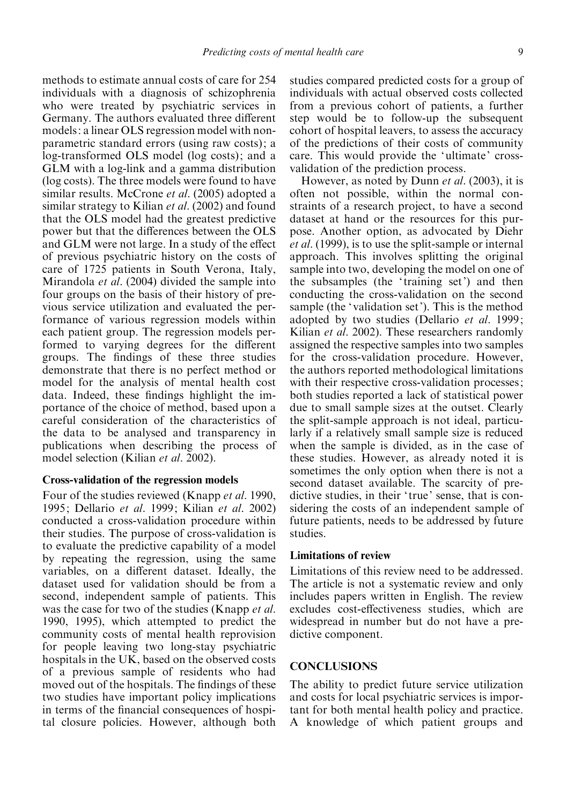methods to estimate annual costs of care for 254 individuals with a diagnosis of schizophrenia who were treated by psychiatric services in Germany. The authors evaluated three different models: a linear OLS regression model with nonparametric standard errors (using raw costs); a log-transformed OLS model (log costs); and a GLM with a log-link and a gamma distribution (log costs). The three models were found to have similar results. McCrone et al. (2005) adopted a similar strategy to Kilian *et al.* (2002) and found that the OLS model had the greatest predictive power but that the differences between the OLS and GLM were not large. In a study of the effect of previous psychiatric history on the costs of care of 1725 patients in South Verona, Italy, Mirandola et al. (2004) divided the sample into four groups on the basis of their history of previous service utilization and evaluated the performance of various regression models within each patient group. The regression models performed to varying degrees for the different groups. The findings of these three studies demonstrate that there is no perfect method or model for the analysis of mental health cost data. Indeed, these findings highlight the importance of the choice of method, based upon a careful consideration of the characteristics of the data to be analysed and transparency in publications when describing the process of model selection (Kilian et al. 2002).

# Cross-validation of the regression models

Four of the studies reviewed (Knapp et al. 1990, 1995; Dellario et al. 1999; Kilian et al. 2002) conducted a cross-validation procedure within their studies. The purpose of cross-validation is to evaluate the predictive capability of a model by repeating the regression, using the same variables, on a different dataset. Ideally, the dataset used for validation should be from a second, independent sample of patients. This was the case for two of the studies (Knapp *et al.*) 1990, 1995), which attempted to predict the community costs of mental health reprovision for people leaving two long-stay psychiatric hospitals in the UK, based on the observed costs of a previous sample of residents who had moved out of the hospitals. The findings of these two studies have important policy implications in terms of the financial consequences of hospital closure policies. However, although both

studies compared predicted costs for a group of individuals with actual observed costs collected from a previous cohort of patients, a further step would be to follow-up the subsequent cohort of hospital leavers, to assess the accuracy of the predictions of their costs of community care. This would provide the 'ultimate' crossvalidation of the prediction process.

However, as noted by Dunn et al. (2003), it is often not possible, within the normal constraints of a research project, to have a second dataset at hand or the resources for this purpose. Another option, as advocated by Diehr et al. (1999), is to use the split-sample or internal approach. This involves splitting the original sample into two, developing the model on one of the subsamples (the ' training set') and then conducting the cross-validation on the second sample (the 'validation set'). This is the method adopted by two studies (Dellario et al. 1999; Kilian *et al.* 2002). These researchers randomly assigned the respective samples into two samples for the cross-validation procedure. However, the authors reported methodological limitations with their respective cross-validation processes: both studies reported a lack of statistical power due to small sample sizes at the outset. Clearly the split-sample approach is not ideal, particularly if a relatively small sample size is reduced when the sample is divided, as in the case of these studies. However, as already noted it is sometimes the only option when there is not a second dataset available. The scarcity of predictive studies, in their ' true' sense, that is considering the costs of an independent sample of future patients, needs to be addressed by future studies.

# Limitations of review

Limitations of this review need to be addressed. The article is not a systematic review and only includes papers written in English. The review excludes cost-effectiveness studies, which are widespread in number but do not have a predictive component.

# **CONCLUSIONS**

The ability to predict future service utilization and costs for local psychiatric services is important for both mental health policy and practice. A knowledge of which patient groups and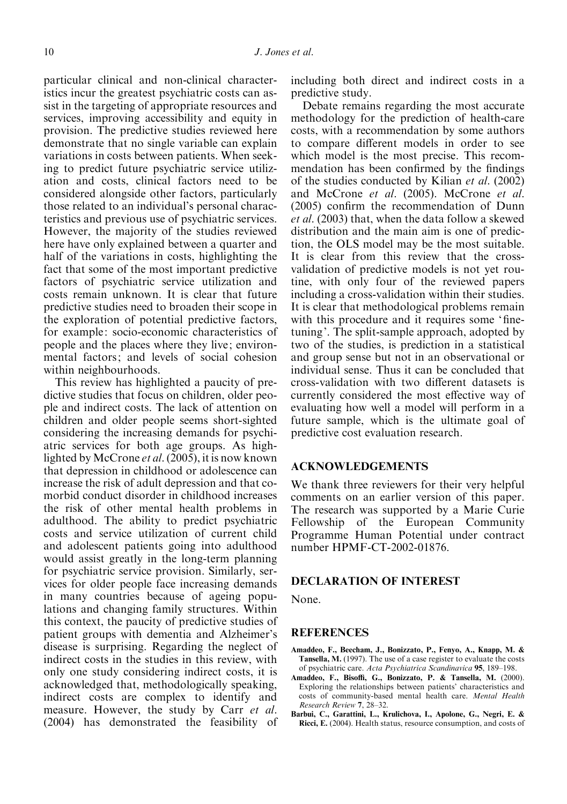particular clinical and non-clinical characteristics incur the greatest psychiatric costs can assist in the targeting of appropriate resources and services, improving accessibility and equity in provision. The predictive studies reviewed here demonstrate that no single variable can explain variations in costs between patients. When seeking to predict future psychiatric service utilization and costs, clinical factors need to be considered alongside other factors, particularly those related to an individual's personal characteristics and previous use of psychiatric services. However, the majority of the studies reviewed here have only explained between a quarter and half of the variations in costs, highlighting the fact that some of the most important predictive factors of psychiatric service utilization and costs remain unknown. It is clear that future predictive studies need to broaden their scope in the exploration of potential predictive factors, for example: socio-economic characteristics of people and the places where they live; environmental factors; and levels of social cohesion within neighbourhoods.

This review has highlighted a paucity of predictive studies that focus on children, older people and indirect costs. The lack of attention on children and older people seems short-sighted considering the increasing demands for psychiatric services for both age groups. As highlighted by McCrone et al. (2005), it is now known that depression in childhood or adolescence can increase the risk of adult depression and that comorbid conduct disorder in childhood increases the risk of other mental health problems in adulthood. The ability to predict psychiatric costs and service utilization of current child and adolescent patients going into adulthood would assist greatly in the long-term planning for psychiatric service provision. Similarly, services for older people face increasing demands in many countries because of ageing populations and changing family structures. Within this context, the paucity of predictive studies of patient groups with dementia and Alzheimer's disease is surprising. Regarding the neglect of indirect costs in the studies in this review, with only one study considering indirect costs, it is acknowledged that, methodologically speaking, indirect costs are complex to identify and measure. However, the study by Carr *et al.* (2004) has demonstrated the feasibility of including both direct and indirect costs in a predictive study.

Debate remains regarding the most accurate methodology for the prediction of health-care costs, with a recommendation by some authors to compare different models in order to see which model is the most precise. This recommendation has been confirmed by the findings of the studies conducted by Kilian et al. (2002) and McCrone et al. (2005). McCrone et al. (2005) confirm the recommendation of Dunn et al. (2003) that, when the data follow a skewed distribution and the main aim is one of prediction, the OLS model may be the most suitable. It is clear from this review that the crossvalidation of predictive models is not yet routine, with only four of the reviewed papers including a cross-validation within their studies. It is clear that methodological problems remain with this procedure and it requires some 'finetuning'. The split-sample approach, adopted by two of the studies, is prediction in a statistical and group sense but not in an observational or individual sense. Thus it can be concluded that cross-validation with two different datasets is currently considered the most effective way of evaluating how well a model will perform in a future sample, which is the ultimate goal of predictive cost evaluation research.

# ACKNOWLEDGEMENTS

We thank three reviewers for their very helpful comments on an earlier version of this paper. The research was supported by a Marie Curie Fellowship of the European Community Programme Human Potential under contract number HPMF-CT-2002-01876.

## DECLARATION OF INTEREST

None.

## **REFERENCES**

- Amaddeo, F., Beecham, J., Bonizzato, P., Fenyo, A., Knapp, M. & Tansella, M. (1997). The use of a case register to evaluate the costs of psychiatric care. Acta Psychiatrica Scandinavica 95, 189–198.
- Amaddeo, F., Bisoffi, G., Bonizzato, P. & Tansella, M. (2000). Exploring the relationships between patients' characteristics and costs of community-based mental health care. Mental Health Research Review 7, 28–32.
- Barbui, C., Garattini, L., Krulichova, I., Apolone, G., Negri, E. & Ricci, E. (2004). Health status, resource consumption, and costs of